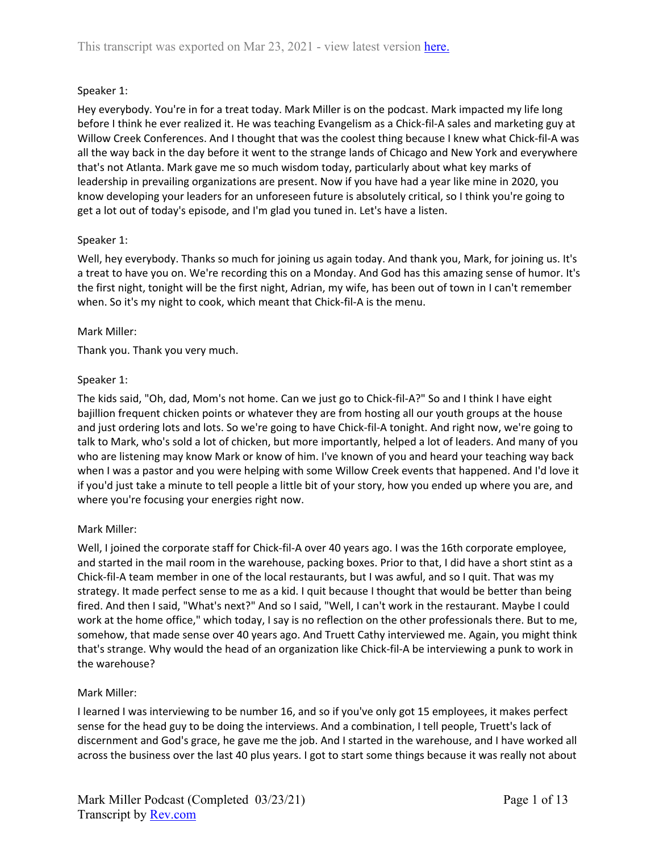## Speaker 1:

Hey everybody. You're in for a treat today. Mark Miller is on the podcast. Mark impacted my life long before I think he ever realized it. He was teaching Evangelism as a Chick-fil-A sales and marketing guy at Willow Creek Conferences. And I thought that was the coolest thing because I knew what Chick-fil-A was all the way back in the day before it went to the strange lands of Chicago and New York and everywhere that's not Atlanta. Mark gave me so much wisdom today, particularly about what key marks of leadership in prevailing organizations are present. Now if you have had a year like mine in 2020, you know developing your leaders for an unforeseen future is absolutely critical, so I think you're going to get a lot out of today's episode, and I'm glad you tuned in. Let's have a listen.

## Speaker 1:

Well, hey everybody. Thanks so much for joining us again today. And thank you, Mark, for joining us. It's a treat to have you on. We're recording this on a Monday. And God has this amazing sense of humor. It's the first night, tonight will be the first night, Adrian, my wife, has been out of town in I can't remember when. So it's my night to cook, which meant that Chick-fil-A is the menu.

### Mark Miller:

Thank you. Thank you very much.

### Speaker 1:

The kids said, "Oh, dad, Mom's not home. Can we just go to Chick-fil-A?" So and I think I have eight bajillion frequent chicken points or whatever they are from hosting all our youth groups at the house and just ordering lots and lots. So we're going to have Chick-fil-A tonight. And right now, we're going to talk to Mark, who's sold a lot of chicken, but more importantly, helped a lot of leaders. And many of you who are listening may know Mark or know of him. I've known of you and heard your teaching way back when I was a pastor and you were helping with some Willow Creek events that happened. And I'd love it if you'd just take a minute to tell people a little bit of your story, how you ended up where you are, and where you're focusing your energies right now.

## Mark Miller:

Well, I joined the corporate staff for Chick-fil-A over 40 years ago. I was the 16th corporate employee, and started in the mail room in the warehouse, packing boxes. Prior to that, I did have a short stint as a Chick-fil-A team member in one of the local restaurants, but I was awful, and so I quit. That was my strategy. It made perfect sense to me as a kid. I quit because I thought that would be better than being fired. And then I said, "What's next?" And so I said, "Well, I can't work in the restaurant. Maybe I could work at the home office," which today, I say is no reflection on the other professionals there. But to me, somehow, that made sense over 40 years ago. And Truett Cathy interviewed me. Again, you might think that's strange. Why would the head of an organization like Chick-fil-A be interviewing a punk to work in the warehouse?

#### Mark Miller:

I learned I was interviewing to be number 16, and so if you've only got 15 employees, it makes perfect sense for the head guy to be doing the interviews. And a combination, I tell people, Truett's lack of discernment and God's grace, he gave me the job. And I started in the warehouse, and I have worked all across the business over the last 40 plus years. I got to start some things because it was really not about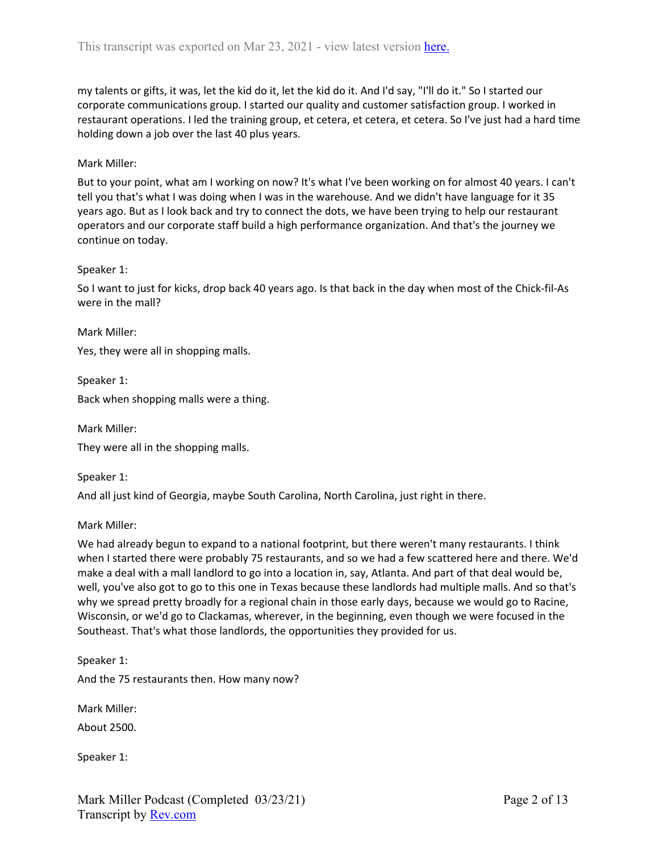my talents or gifts, it was, let the kid do it, let the kid do it. And I'd say, "I'll do it." So I started our corporate communications group. I started our quality and customer satisfaction group. I worked in restaurant operations. I led the training group, et cetera, et cetera, et cetera. So I've just had a hard time holding down a job over the last 40 plus years.

### Mark Miller:

But to your point, what am I working on now? It's what I've been working on for almost 40 years. I can't tell you that's what I was doing when I was in the warehouse. And we didn't have language for it 35 years ago. But as I look back and try to connect the dots, we have been trying to help our restaurant operators and our corporate staff build a high performance organization. And that's the journey we continue on today.

#### Speaker 1:

So I want to just for kicks, drop back 40 years ago. Is that back in the day when most of the Chick-fil-As were in the mall?

Mark Miller:

Yes, they were all in shopping malls.

Speaker 1:

Back when shopping malls were a thing.

Mark Miller: They were all in the shopping malls.

Speaker 1:

And all just kind of Georgia, maybe South Carolina, North Carolina, just right in there.

Mark Miller:

We had already begun to expand to a national footprint, but there weren't many restaurants. I think when I started there were probably 75 restaurants, and so we had a few scattered here and there. We'd make a deal with a mall landlord to go into a location in, say, Atlanta. And part of that deal would be, well, you've also got to go to this one in Texas because these landlords had multiple malls. And so that's why we spread pretty broadly for a regional chain in those early days, because we would go to Racine, Wisconsin, or we'd go to Clackamas, wherever, in the beginning, even though we were focused in the Southeast. That's what those landlords, the opportunities they provided for us.

Speaker 1: And the 75 restaurants then. How many now?

Mark Miller:

About 2500.

Speaker 1: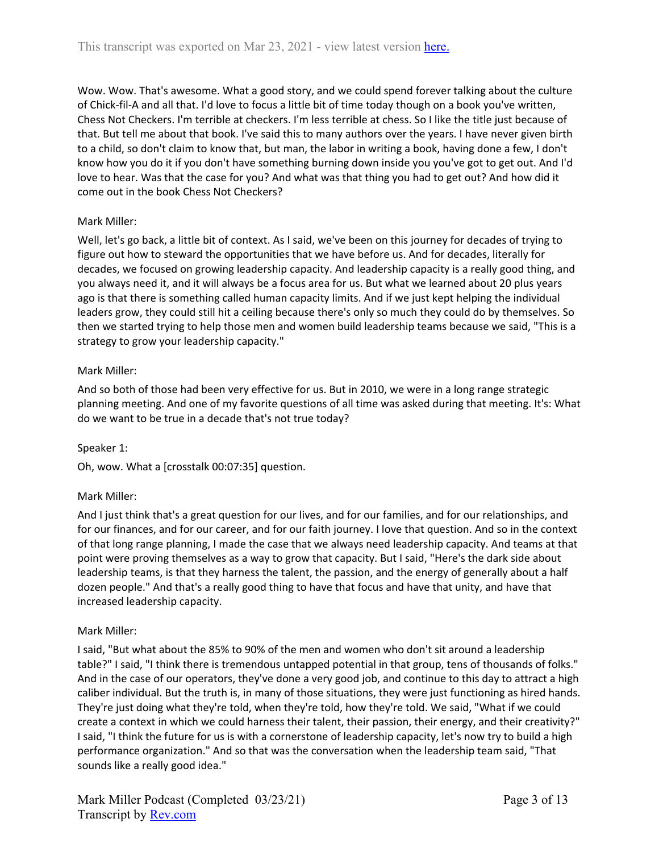Wow. Wow. That's awesome. What a good story, and we could spend forever talking about the culture of Chick-fil-A and all that. I'd love to focus a little bit of time today though on a book you've written, Chess Not Checkers. I'm terrible at checkers. I'm less terrible at chess. So I like the title just because of that. But tell me about that book. I've said this to many authors over the years. I have never given birth to a child, so don't claim to know that, but man, the labor in writing a book, having done a few, I don't know how you do it if you don't have something burning down inside you you've got to get out. And I'd love to hear. Was that the case for you? And what was that thing you had to get out? And how did it come out in the book Chess Not Checkers?

# Mark Miller:

Well, let's go back, a little bit of context. As I said, we've been on this journey for decades of trying to figure out how to steward the opportunities that we have before us. And for decades, literally for decades, we focused on growing leadership capacity. And leadership capacity is a really good thing, and you always need it, and it will always be a focus area for us. But what we learned about 20 plus years ago is that there is something called human capacity limits. And if we just kept helping the individual leaders grow, they could still hit a ceiling because there's only so much they could do by themselves. So then we started trying to help those men and women build leadership teams because we said, "This is a strategy to grow your leadership capacity."

## Mark Miller:

And so both of those had been very effective for us. But in 2010, we were in a long range strategic planning meeting. And one of my favorite questions of all time was asked during that meeting. It's: What do we want to be true in a decade that's not true today?

## Speaker 1:

Oh, wow. What a [crosstalk 00:07:35] question.

## Mark Miller:

And I just think that's a great question for our lives, and for our families, and for our relationships, and for our finances, and for our career, and for our faith journey. I love that question. And so in the context of that long range planning, I made the case that we always need leadership capacity. And teams at that point were proving themselves as a way to grow that capacity. But I said, "Here's the dark side about leadership teams, is that they harness the talent, the passion, and the energy of generally about a half dozen people." And that's a really good thing to have that focus and have that unity, and have that increased leadership capacity.

## Mark Miller:

I said, "But what about the 85% to 90% of the men and women who don't sit around a leadership table?" I said, "I think there is tremendous untapped potential in that group, tens of thousands of folks." And in the case of our operators, they've done a very good job, and continue to this day to attract a high caliber individual. But the truth is, in many of those situations, they were just functioning as hired hands. They're just doing what they're told, when they're told, how they're told. We said, "What if we could create a context in which we could harness their talent, their passion, their energy, and their creativity?" I said, "I think the future for us is with a cornerstone of leadership capacity, let's now try to build a high performance organization." And so that was the conversation when the leadership team said, "That sounds like a really good idea."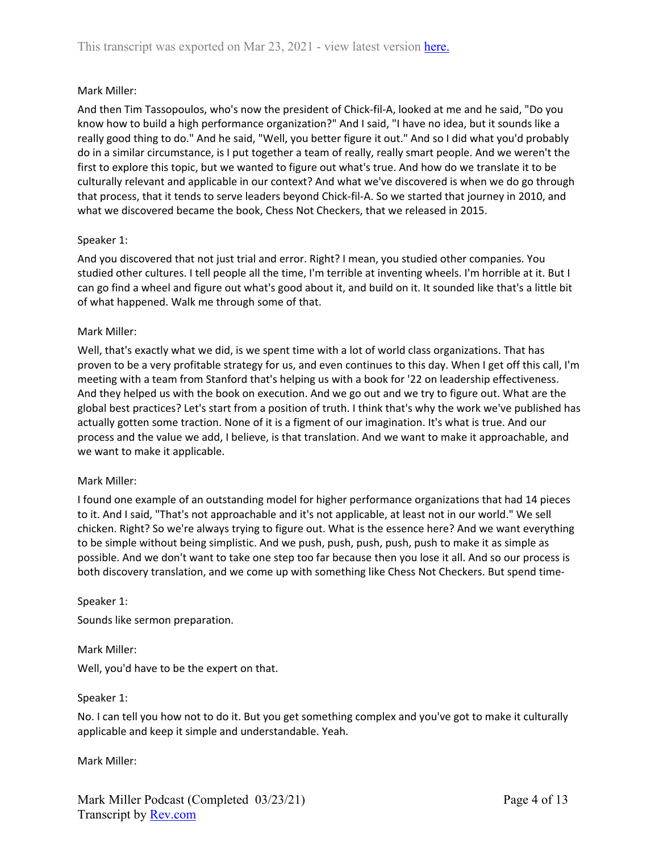## Mark Miller:

And then Tim Tassopoulos, who's now the president of Chick-fil-A, looked at me and he said, "Do you know how to build a high performance organization?" And I said, "I have no idea, but it sounds like a really good thing to do." And he said, "Well, you better figure it out." And so I did what you'd probably do in a similar circumstance, is I put together a team of really, really smart people. And we weren't the first to explore this topic, but we wanted to figure out what's true. And how do we translate it to be culturally relevant and applicable in our context? And what we've discovered is when we do go through that process, that it tends to serve leaders beyond Chick-fil-A. So we started that journey in 2010, and what we discovered became the book, Chess Not Checkers, that we released in 2015.

#### Speaker 1:

And you discovered that not just trial and error. Right? I mean, you studied other companies. You studied other cultures. I tell people all the time, I'm terrible at inventing wheels. I'm horrible at it. But I can go find a wheel and figure out what's good about it, and build on it. It sounded like that's a little bit of what happened. Walk me through some of that.

#### Mark Miller:

Well, that's exactly what we did, is we spent time with a lot of world class organizations. That has proven to be a very profitable strategy for us, and even continues to this day. When I get off this call, I'm meeting with a team from Stanford that's helping us with a book for '22 on leadership effectiveness. And they helped us with the book on execution. And we go out and we try to figure out. What are the global best practices? Let's start from a position of truth. I think that's why the work we've published has actually gotten some traction. None of it is a figment of our imagination. It's what is true. And our process and the value we add, I believe, is that translation. And we want to make it approachable, and we want to make it applicable.

#### Mark Miller:

I found one example of an outstanding model for higher performance organizations that had 14 pieces to it. And I said, "That's not approachable and it's not applicable, at least not in our world." We sell chicken. Right? So we're always trying to figure out. What is the essence here? And we want everything to be simple without being simplistic. And we push, push, push, push, push to make it as simple as possible. And we don't want to take one step too far because then you lose it all. And so our process is both discovery translation, and we come up with something like Chess Not Checkers. But spend time-

Speaker 1:

Sounds like sermon preparation.

Mark Miller:

Well, you'd have to be the expert on that.

#### Speaker 1:

No. I can tell you how not to do it. But you get something complex and you've got to make it culturally applicable and keep it simple and understandable. Yeah.

Mark Miller: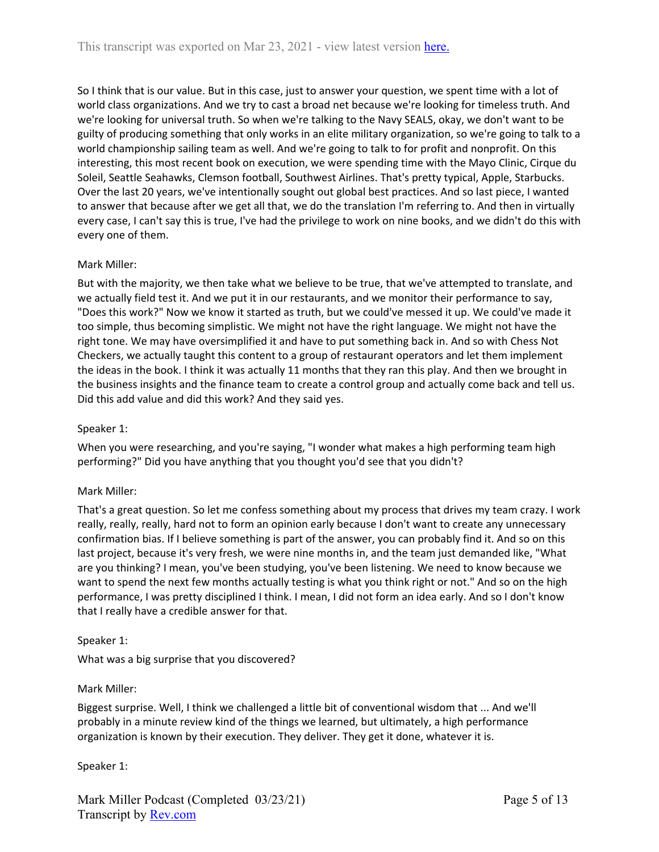So I think that is our value. But in this case, just to answer your question, we spent time with a lot of world class organizations. And we try to cast a broad net because we're looking for timeless truth. And we're looking for universal truth. So when we're talking to the Navy SEALS, okay, we don't want to be guilty of producing something that only works in an elite military organization, so we're going to talk to a world championship sailing team as well. And we're going to talk to for profit and nonprofit. On this interesting, this most recent book on execution, we were spending time with the Mayo Clinic, Cirque du Soleil, Seattle Seahawks, Clemson football, Southwest Airlines. That's pretty typical, Apple, Starbucks. Over the last 20 years, we've intentionally sought out global best practices. And so last piece, I wanted to answer that because after we get all that, we do the translation I'm referring to. And then in virtually every case, I can't say this is true, I've had the privilege to work on nine books, and we didn't do this with every one of them.

### Mark Miller:

But with the majority, we then take what we believe to be true, that we've attempted to translate, and we actually field test it. And we put it in our restaurants, and we monitor their performance to say, "Does this work?" Now we know it started as truth, but we could've messed it up. We could've made it too simple, thus becoming simplistic. We might not have the right language. We might not have the right tone. We may have oversimplified it and have to put something back in. And so with Chess Not Checkers, we actually taught this content to a group of restaurant operators and let them implement the ideas in the book. I think it was actually 11 months that they ran this play. And then we brought in the business insights and the finance team to create a control group and actually come back and tell us. Did this add value and did this work? And they said yes.

### Speaker 1:

When you were researching, and you're saying, "I wonder what makes a high performing team high performing?" Did you have anything that you thought you'd see that you didn't?

#### Mark Miller:

That's a great question. So let me confess something about my process that drives my team crazy. I work really, really, really, hard not to form an opinion early because I don't want to create any unnecessary confirmation bias. If I believe something is part of the answer, you can probably find it. And so on this last project, because it's very fresh, we were nine months in, and the team just demanded like, "What are you thinking? I mean, you've been studying, you've been listening. We need to know because we want to spend the next few months actually testing is what you think right or not." And so on the high performance, I was pretty disciplined I think. I mean, I did not form an idea early. And so I don't know that I really have a credible answer for that.

#### Speaker 1:

What was a big surprise that you discovered?

#### Mark Miller:

Biggest surprise. Well, I think we challenged a little bit of conventional wisdom that ... And we'll probably in a minute review kind of the things we learned, but ultimately, a high performance organization is known by their execution. They deliver. They get it done, whatever it is.

Speaker 1: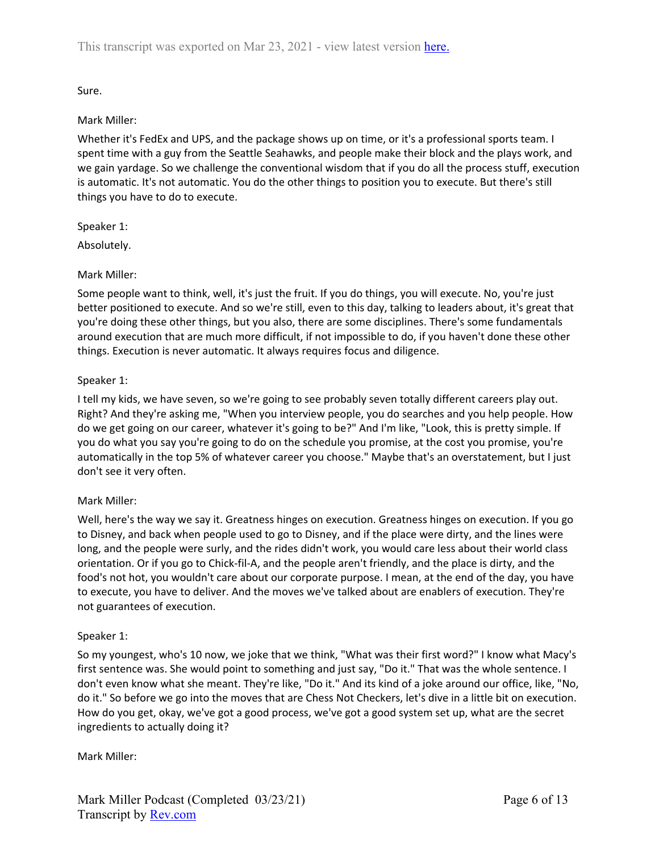Sure.

## Mark Miller:

Whether it's FedEx and UPS, and the package shows up on time, or it's a professional sports team. I spent time with a guy from the Seattle Seahawks, and people make their block and the plays work, and we gain yardage. So we challenge the conventional wisdom that if you do all the process stuff, execution is automatic. It's not automatic. You do the other things to position you to execute. But there's still things you have to do to execute.

Speaker 1:

Absolutely.

# Mark Miller:

Some people want to think, well, it's just the fruit. If you do things, you will execute. No, you're just better positioned to execute. And so we're still, even to this day, talking to leaders about, it's great that you're doing these other things, but you also, there are some disciplines. There's some fundamentals around execution that are much more difficult, if not impossible to do, if you haven't done these other things. Execution is never automatic. It always requires focus and diligence.

# Speaker 1:

I tell my kids, we have seven, so we're going to see probably seven totally different careers play out. Right? And they're asking me, "When you interview people, you do searches and you help people. How do we get going on our career, whatever it's going to be?" And I'm like, "Look, this is pretty simple. If you do what you say you're going to do on the schedule you promise, at the cost you promise, you're automatically in the top 5% of whatever career you choose." Maybe that's an overstatement, but I just don't see it very often.

# Mark Miller:

Well, here's the way we say it. Greatness hinges on execution. Greatness hinges on execution. If you go to Disney, and back when people used to go to Disney, and if the place were dirty, and the lines were long, and the people were surly, and the rides didn't work, you would care less about their world class orientation. Or if you go to Chick-fil-A, and the people aren't friendly, and the place is dirty, and the food's not hot, you wouldn't care about our corporate purpose. I mean, at the end of the day, you have to execute, you have to deliver. And the moves we've talked about are enablers of execution. They're not guarantees of execution.

## Speaker 1:

So my youngest, who's 10 now, we joke that we think, "What was their first word?" I know what Macy's first sentence was. She would point to something and just say, "Do it." That was the whole sentence. I don't even know what she meant. They're like, "Do it." And its kind of a joke around our office, like, "No, do it." So before we go into the moves that are Chess Not Checkers, let's dive in a little bit on execution. How do you get, okay, we've got a good process, we've got a good system set up, what are the secret ingredients to actually doing it?

Mark Miller: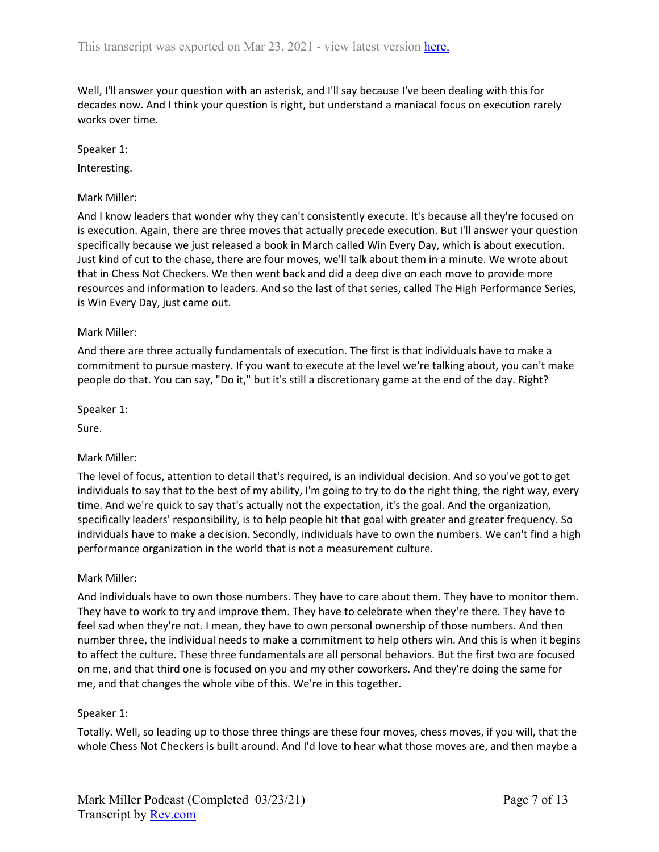Well, I'll answer your question with an asterisk, and I'll say because I've been dealing with this for decades now. And I think your question is right, but understand a maniacal focus on execution rarely works over time.

### Speaker 1:

Interesting.

### Mark Miller:

And I know leaders that wonder why they can't consistently execute. It's because all they're focused on is execution. Again, there are three moves that actually precede execution. But I'll answer your question specifically because we just released a book in March called Win Every Day, which is about execution. Just kind of cut to the chase, there are four moves, we'll talk about them in a minute. We wrote about that in Chess Not Checkers. We then went back and did a deep dive on each move to provide more resources and information to leaders. And so the last of that series, called The High Performance Series, is Win Every Day, just came out.

### Mark Miller:

And there are three actually fundamentals of execution. The first is that individuals have to make a commitment to pursue mastery. If you want to execute at the level we're talking about, you can't make people do that. You can say, "Do it," but it's still a discretionary game at the end of the day. Right?

Speaker 1:

Sure.

## Mark Miller:

The level of focus, attention to detail that's required, is an individual decision. And so you've got to get individuals to say that to the best of my ability, I'm going to try to do the right thing, the right way, every time. And we're quick to say that's actually not the expectation, it's the goal. And the organization, specifically leaders' responsibility, is to help people hit that goal with greater and greater frequency. So individuals have to make a decision. Secondly, individuals have to own the numbers. We can't find a high performance organization in the world that is not a measurement culture.

#### Mark Miller:

And individuals have to own those numbers. They have to care about them. They have to monitor them. They have to work to try and improve them. They have to celebrate when they're there. They have to feel sad when they're not. I mean, they have to own personal ownership of those numbers. And then number three, the individual needs to make a commitment to help others win. And this is when it begins to affect the culture. These three fundamentals are all personal behaviors. But the first two are focused on me, and that third one is focused on you and my other coworkers. And they're doing the same for me, and that changes the whole vibe of this. We're in this together.

#### Speaker 1:

Totally. Well, so leading up to those three things are these four moves, chess moves, if you will, that the whole Chess Not Checkers is built around. And I'd love to hear what those moves are, and then maybe a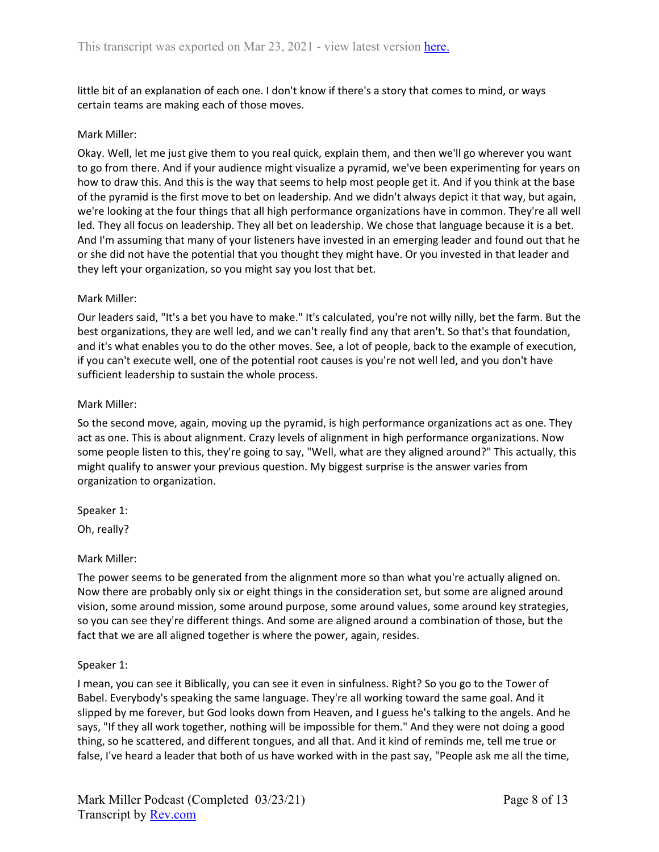little bit of an explanation of each one. I don't know if there's a story that comes to mind, or ways certain teams are making each of those moves.

#### Mark Miller:

Okay. Well, let me just give them to you real quick, explain them, and then we'll go wherever you want to go from there. And if your audience might visualize a pyramid, we've been experimenting for years on how to draw this. And this is the way that seems to help most people get it. And if you think at the base of the pyramid is the first move to bet on leadership. And we didn't always depict it that way, but again, we're looking at the four things that all high performance organizations have in common. They're all well led. They all focus on leadership. They all bet on leadership. We chose that language because it is a bet. And I'm assuming that many of your listeners have invested in an emerging leader and found out that he or she did not have the potential that you thought they might have. Or you invested in that leader and they left your organization, so you might say you lost that bet.

#### Mark Miller:

Our leaders said, "It's a bet you have to make." It's calculated, you're not willy nilly, bet the farm. But the best organizations, they are well led, and we can't really find any that aren't. So that's that foundation, and it's what enables you to do the other moves. See, a lot of people, back to the example of execution, if you can't execute well, one of the potential root causes is you're not well led, and you don't have sufficient leadership to sustain the whole process.

#### Mark Miller:

So the second move, again, moving up the pyramid, is high performance organizations act as one. They act as one. This is about alignment. Crazy levels of alignment in high performance organizations. Now some people listen to this, they're going to say, "Well, what are they aligned around?" This actually, this might qualify to answer your previous question. My biggest surprise is the answer varies from organization to organization.

Speaker 1:

Oh, really?

#### Mark Miller:

The power seems to be generated from the alignment more so than what you're actually aligned on. Now there are probably only six or eight things in the consideration set, but some are aligned around vision, some around mission, some around purpose, some around values, some around key strategies, so you can see they're different things. And some are aligned around a combination of those, but the fact that we are all aligned together is where the power, again, resides.

#### Speaker 1:

I mean, you can see it Biblically, you can see it even in sinfulness. Right? So you go to the Tower of Babel. Everybody's speaking the same language. They're all working toward the same goal. And it slipped by me forever, but God looks down from Heaven, and I guess he's talking to the angels. And he says, "If they all work together, nothing will be impossible for them." And they were not doing a good thing, so he scattered, and different tongues, and all that. And it kind of reminds me, tell me true or false, I've heard a leader that both of us have worked with in the past say, "People ask me all the time,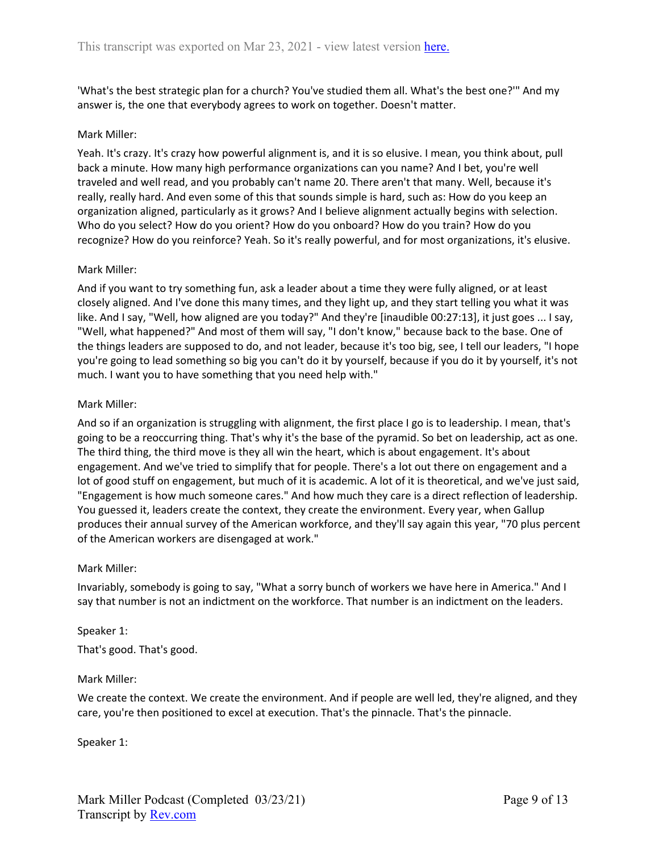'What's the best strategic plan for a church? You've studied them all. What's the best one?'" And my answer is, the one that everybody agrees to work on together. Doesn't matter.

#### Mark Miller:

Yeah. It's crazy. It's crazy how powerful alignment is, and it is so elusive. I mean, you think about, pull back a minute. How many high performance organizations can you name? And I bet, you're well traveled and well read, and you probably can't name 20. There aren't that many. Well, because it's really, really hard. And even some of this that sounds simple is hard, such as: How do you keep an organization aligned, particularly as it grows? And I believe alignment actually begins with selection. Who do you select? How do you orient? How do you onboard? How do you train? How do you recognize? How do you reinforce? Yeah. So it's really powerful, and for most organizations, it's elusive.

#### Mark Miller:

And if you want to try something fun, ask a leader about a time they were fully aligned, or at least closely aligned. And I've done this many times, and they light up, and they start telling you what it was like. And I say, "Well, how aligned are you today?" And they're [inaudible 00:27:13], it just goes ... I say, "Well, what happened?" And most of them will say, "I don't know," because back to the base. One of the things leaders are supposed to do, and not leader, because it's too big, see, I tell our leaders, "I hope you're going to lead something so big you can't do it by yourself, because if you do it by yourself, it's not much. I want you to have something that you need help with."

#### Mark Miller:

And so if an organization is struggling with alignment, the first place I go is to leadership. I mean, that's going to be a reoccurring thing. That's why it's the base of the pyramid. So bet on leadership, act as one. The third thing, the third move is they all win the heart, which is about engagement. It's about engagement. And we've tried to simplify that for people. There's a lot out there on engagement and a lot of good stuff on engagement, but much of it is academic. A lot of it is theoretical, and we've just said, "Engagement is how much someone cares." And how much they care is a direct reflection of leadership. You guessed it, leaders create the context, they create the environment. Every year, when Gallup produces their annual survey of the American workforce, and they'll say again this year, "70 plus percent of the American workers are disengaged at work."

#### Mark Miller:

Invariably, somebody is going to say, "What a sorry bunch of workers we have here in America." And I say that number is not an indictment on the workforce. That number is an indictment on the leaders.

#### Speaker 1:

That's good. That's good.

#### Mark Miller:

We create the context. We create the environment. And if people are well led, they're aligned, and they care, you're then positioned to excel at execution. That's the pinnacle. That's the pinnacle.

Speaker 1: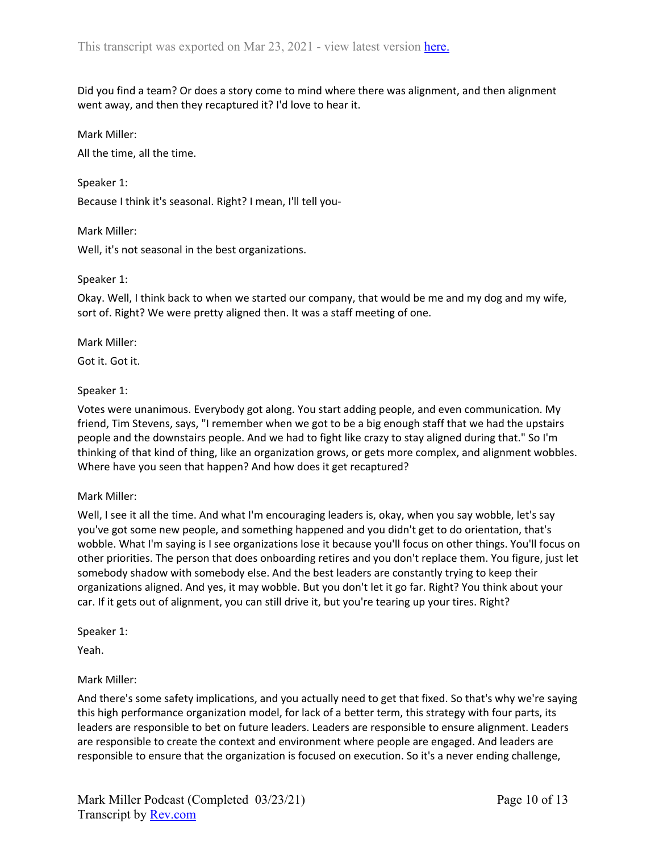Did you find a team? Or does a story come to mind where there was alignment, and then alignment went away, and then they recaptured it? I'd love to hear it.

Mark Miller:

All the time, all the time.

Speaker 1:

Because I think it's seasonal. Right? I mean, I'll tell you-

Mark Miller:

Well, it's not seasonal in the best organizations.

#### Speaker 1:

Okay. Well, I think back to when we started our company, that would be me and my dog and my wife, sort of. Right? We were pretty aligned then. It was a staff meeting of one.

#### Mark Miller:

Got it. Got it.

### Speaker 1:

Votes were unanimous. Everybody got along. You start adding people, and even communication. My friend, Tim Stevens, says, "I remember when we got to be a big enough staff that we had the upstairs people and the downstairs people. And we had to fight like crazy to stay aligned during that." So I'm thinking of that kind of thing, like an organization grows, or gets more complex, and alignment wobbles. Where have you seen that happen? And how does it get recaptured?

## Mark Miller:

Well, I see it all the time. And what I'm encouraging leaders is, okay, when you say wobble, let's say you've got some new people, and something happened and you didn't get to do orientation, that's wobble. What I'm saying is I see organizations lose it because you'll focus on other things. You'll focus on other priorities. The person that does onboarding retires and you don't replace them. You figure, just let somebody shadow with somebody else. And the best leaders are constantly trying to keep their organizations aligned. And yes, it may wobble. But you don't let it go far. Right? You think about your car. If it gets out of alignment, you can still drive it, but you're tearing up your tires. Right?

Speaker 1:

Yeah.

## Mark Miller:

And there's some safety implications, and you actually need to get that fixed. So that's why we're saying this high performance organization model, for lack of a better term, this strategy with four parts, its leaders are responsible to bet on future leaders. Leaders are responsible to ensure alignment. Leaders are responsible to create the context and environment where people are engaged. And leaders are responsible to ensure that the organization is focused on execution. So it's a never ending challenge,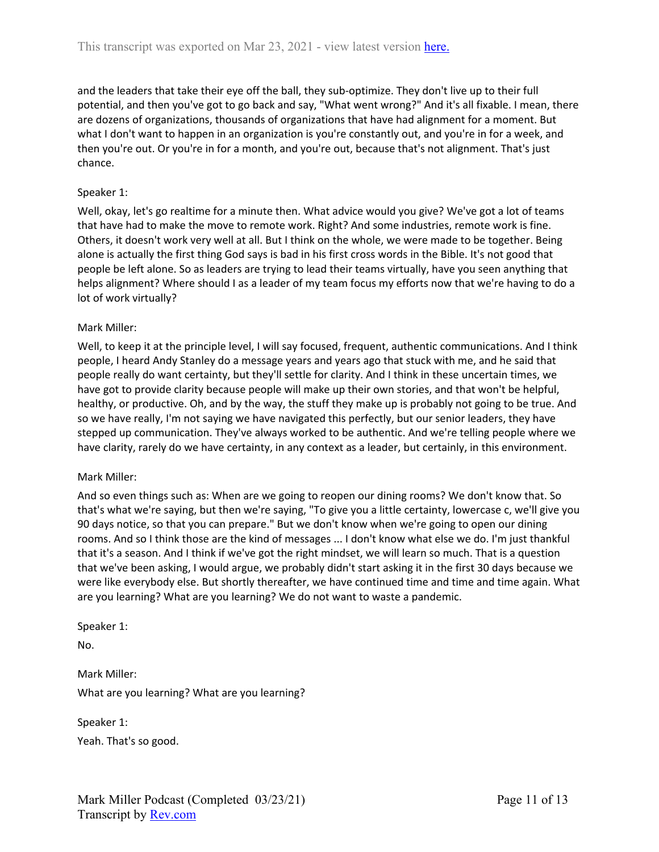and the leaders that take their eye off the ball, they sub-optimize. They don't live up to their full potential, and then you've got to go back and say, "What went wrong?" And it's all fixable. I mean, there are dozens of organizations, thousands of organizations that have had alignment for a moment. But what I don't want to happen in an organization is you're constantly out, and you're in for a week, and then you're out. Or you're in for a month, and you're out, because that's not alignment. That's just chance.

### Speaker 1:

Well, okay, let's go realtime for a minute then. What advice would you give? We've got a lot of teams that have had to make the move to remote work. Right? And some industries, remote work is fine. Others, it doesn't work very well at all. But I think on the whole, we were made to be together. Being alone is actually the first thing God says is bad in his first cross words in the Bible. It's not good that people be left alone. So as leaders are trying to lead their teams virtually, have you seen anything that helps alignment? Where should I as a leader of my team focus my efforts now that we're having to do a lot of work virtually?

#### Mark Miller:

Well, to keep it at the principle level, I will say focused, frequent, authentic communications. And I think people, I heard Andy Stanley do a message years and years ago that stuck with me, and he said that people really do want certainty, but they'll settle for clarity. And I think in these uncertain times, we have got to provide clarity because people will make up their own stories, and that won't be helpful, healthy, or productive. Oh, and by the way, the stuff they make up is probably not going to be true. And so we have really, I'm not saying we have navigated this perfectly, but our senior leaders, they have stepped up communication. They've always worked to be authentic. And we're telling people where we have clarity, rarely do we have certainty, in any context as a leader, but certainly, in this environment.

#### Mark Miller:

And so even things such as: When are we going to reopen our dining rooms? We don't know that. So that's what we're saying, but then we're saying, "To give you a little certainty, lowercase c, we'll give you 90 days notice, so that you can prepare." But we don't know when we're going to open our dining rooms. And so I think those are the kind of messages ... I don't know what else we do. I'm just thankful that it's a season. And I think if we've got the right mindset, we will learn so much. That is a question that we've been asking, I would argue, we probably didn't start asking it in the first 30 days because we were like everybody else. But shortly thereafter, we have continued time and time and time again. What are you learning? What are you learning? We do not want to waste a pandemic.

#### Speaker 1:

No.

Mark Miller: What are you learning? What are you learning?

Speaker 1:

Yeah. That's so good.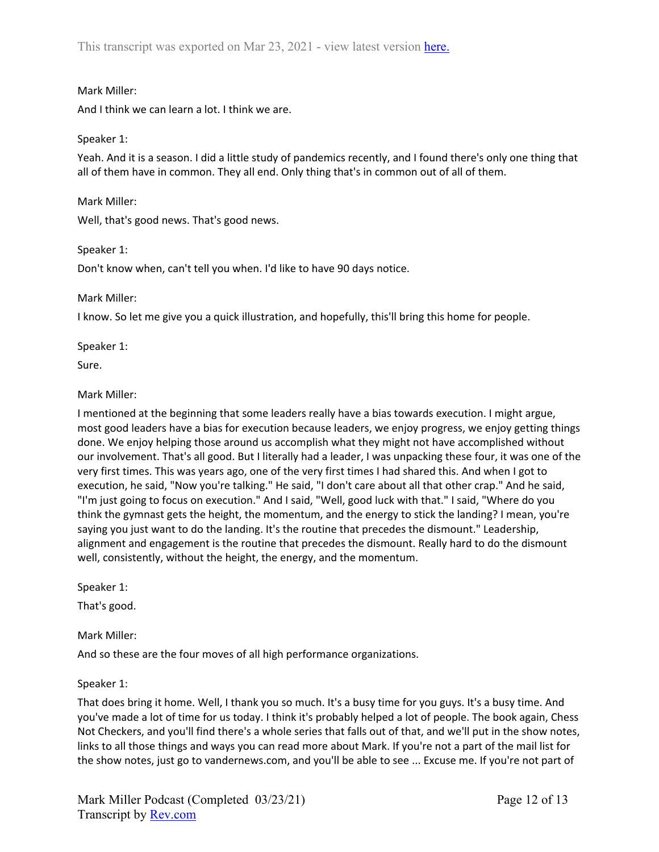## Mark Miller:

And I think we can learn a lot. I think we are.

## Speaker 1:

Yeah. And it is a season. I did a little study of pandemics recently, and I found there's only one thing that all of them have in common. They all end. Only thing that's in common out of all of them.

## Mark Miller:

Well, that's good news. That's good news.

## Speaker 1:

Don't know when, can't tell you when. I'd like to have 90 days notice.

# Mark Miller:

I know. So let me give you a quick illustration, and hopefully, this'll bring this home for people.

Speaker 1:

Sure.

# Mark Miller:

I mentioned at the beginning that some leaders really have a bias towards execution. I might argue, most good leaders have a bias for execution because leaders, we enjoy progress, we enjoy getting things done. We enjoy helping those around us accomplish what they might not have accomplished without our involvement. That's all good. But I literally had a leader, I was unpacking these four, it was one of the very first times. This was years ago, one of the very first times I had shared this. And when I got to execution, he said, "Now you're talking." He said, "I don't care about all that other crap." And he said, "I'm just going to focus on execution." And I said, "Well, good luck with that." I said, "Where do you think the gymnast gets the height, the momentum, and the energy to stick the landing? I mean, you're saying you just want to do the landing. It's the routine that precedes the dismount." Leadership, alignment and engagement is the routine that precedes the dismount. Really hard to do the dismount well, consistently, without the height, the energy, and the momentum.

Speaker 1:

That's good.

## Mark Miller:

And so these are the four moves of all high performance organizations.

## Speaker 1:

That does bring it home. Well, I thank you so much. It's a busy time for you guys. It's a busy time. And you've made a lot of time for us today. I think it's probably helped a lot of people. The book again, Chess Not Checkers, and you'll find there's a whole series that falls out of that, and we'll put in the show notes, links to all those things and ways you can read more about Mark. If you're not a part of the mail list for the show notes, just go to vandernews.com, and you'll be able to see ... Excuse me. If you're not part of